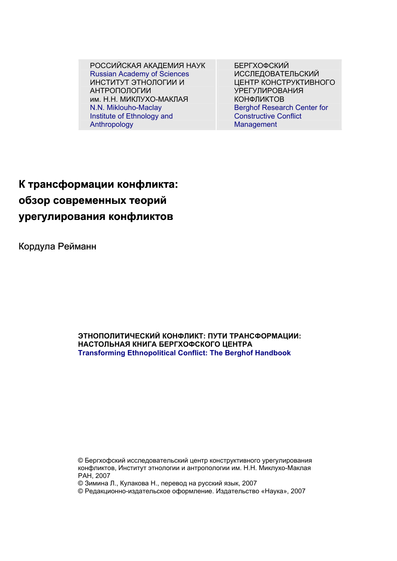**К трансформации конфликта: обзор современных теорий урегулирования конфликтов**

## Кордула Рейманн

## **www.berghof-handbook.net**

Civil Society • Conflict Settlement • Conflict Resolution • Crisis Prevention • Development Cooperation • Human Rights • Humanitarian Assistance • Just Peace • Multi-Track • Peacebuilding • Peace Constituencies• Peacekeeping • Peacemaking • **Post Conflict Rehabilitation • Civil Society • Conflict Settlement • Conflict Resolution** • Crisis Prevention • Development Cooperation • Human Rights • Humanitarian Assistance • Just Peace • Multi-Track • Pe Peacekeeping • Peacemaking • Post Conflict Settlement • Conflict Resolution • Crisis Pr Human Rights • Humanitarian Assistance • • Peace Constituencies • Peacekeeping • Peacemaking • Post Conflict Rehabilitation • Civil Society • Conflict Settlement • Conflict Resolution • Crisis Prevention • **Development Cooperation • Human Rights** • Humanitarian Assistance • Just Peace • Multi-Track • Peacebuilding • Peace Constituencies• Peacekeeping • Peacemaking • Post Conflict Rehabilitation • Civil Society • • Crisis Prevention • Development Coope ervil bockery commet betweened commet resolution crisis revention o Summer Looperation • Human Nights • Humanitanan Assist © Редакционно-издательское оформление. Издательство «Наука», 2007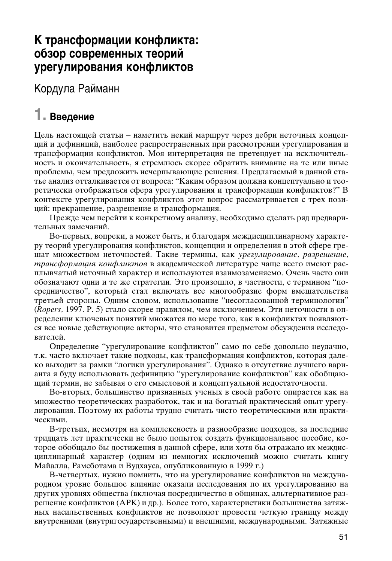# К трансформации конфликта: обзор современных теорий урегулирования конфликтов

Кордула Райманн

# 1. Введение

Цель настоящей статьи – наметить некий маршрут через дебри неточных концепций и дефиниций, наиболее распространенных при рассмотрении урегулирования и трансформации конфликтов. Моя интерпретация не претендует на исключительность и окончательность, я стремлюсь скорее обратить внимание на те или иные проблемы, чем предложить исчерпывающие решения. Предлагаемый в данной статье анализ отталкивается от вопроса: "Каким образом должна концептуально и теоретически отображаться сфера урегулирования и трансформации конфликтов?" В контексте урегулирования конфликтов этот вопрос рассматривается с трех позиций: прекращение, разрешение и трансформация.

Прежде чем перейти к конкретному анализу, необходимо сделать ряд предварительных замечаний.

Во-первых, вопреки, а может быть, и благодаря междисциплинарному характеру теорий урегулирования конфликтов, концепции и определения в этой сфере грешат множеством неточностей. Такие термины, как урегулирование, разрешение, трансформация конфликтов в академической литературе чаще всего имеют расплывчатый неточный характер и используются взаимозаменяемо. Очень часто они обозначают одни и те же стратегии. Это произошло, в частности, с термином "посредничество", который стал включать все многообразие форм вмешательства третьей стороны. Одним словом, использование "несогласованной терминологии" (Ropers, 1997. P. 5) стало скорее правилом, чем исключением. Эти неточности в определении ключевых понятий множатся по мере того, как в конфликтах появляются все новые действующие акторы, что становится предметом обсуждения исследователей.

Определение "урегулирование конфликтов" само по себе довольно неудачно, т.к. часто включает такие подходы, как трансформация конфликтов, которая далеко выходит за рамки "логики урегулирования". Однако в отсутствие лучшего варианта я буду использовать дефиницию "урегулирование конфликтов" как обобщающий термин, не забывая о его смысловой и концептуальной недостаточности.

Во-вторых, большинство признанных ученых в своей работе опирается как на множество теоретических разработок, так и на богатый практический опыт урегулирования. Поэтому их работы трудно считать чисто теоретическими или практическими.

В-третьих, несмотря на комплексность и разнообразие подходов, за последние тридцать лет практически не было попыток создать функциональное пособие, которое обобщало бы достижения в данной сфере, или хотя бы отражало их междисциплинарный характер (одним из немногих исключений можно считать книгу Майалла, Рамсботама и Вудхауса, опубликованную в 1999 г.)

В-четвертых, нужно помнить, что на урегулирование конфликтов на международном уровне большое влияние оказали исследования по их урегулированию на других уровнях общества (включая посредничество в общинах, альтернативное разрешение конфликтов (АРК) и др.). Более того, характеристики большинства затяжных насильственных конфликтов не позволяют провести четкую границу между внутренними (внутригосударственными) и внешними, международными. Затяжные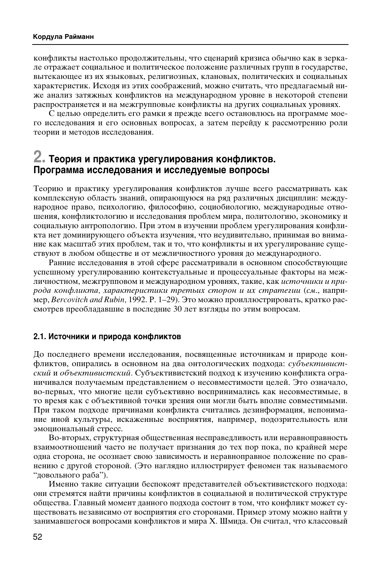конфликты настолько продолжительны, что сценарий кризиса обычно как в зеркале отражает социальное и политическое положение различных групп в государстве, вытекающее из их языковых, религиозных, клановых, политических и социальных характеристик. Исходя из этих соображений, можно считать, что предлагаемый ниже анализ затяжных конфликтов на международном уровне в некоторой степени распространяется и на межгрупповые конфликты на других социальных уровнях.

С целью определить его рамки я прежде всего остановлюсь на программе моего исследования и его основных вопросах, а затем перейду к рассмотрению роли теории и методов исследования.

## $2.$  Теория и практика урегулирования конфликтов. Программа исследования и исследуемые вопросы

Теорию и практику урегулирования конфликтов лучше всего рассматривать как комплексную область знаний, опирающуюся на ряд различных дисциплин: международное право, психологию, философию, социобиологию, международные отношения, конфликтологию и исследования проблем мира, политологию, экономику и социальную антропологию. При этом в изучении проблем урегулирования конфликта нет доминирующего объекта изучения, что неудивительно, принимая во внимание как масштаб этих проблем, так и то, что конфликты и их урегулирование существуют в любом обществе и от межличностного уровня до международного.

Ранние исследования в этой сфере рассматривали в основном способствующие успешному урегулированию контекстуальные и процессуальные факторы на межличностном, межгрупповом и международном уровнях, такие, как источники и природа конфликта, характеристики третьих сторон и их стратегии (см., например, Bercovitch and Rubin, 1992. Р. 1-29). Это можно проиллю стрировать, кратко рассмотрев преобладавшие в последние 30 лет взгляды по этим вопросам.

## 2.1. Источники и природа конфликтов

До последнего времени исследования, посвященные источникам и природе конфликтов, опирались в основном на два онтологических подхода: субъективистский и объективистский. Субъективистский подход к изучению конфликта ограничивался получаемым представлением о несовместимости целей. Это означало, во-первых, что многие цели субъективно воспринимались как несовместимые, в то время как с объективной точки зрения они могли быть вполне совместимыми. При таком подходе причинами конфликта считались дезинформация, непонимание иной культуры, искаженные восприятия, например, подозрительность или эмоциональный стресс.

Во-вторых, структурная общественная несправедливость или неравноправность взаимоотношений часто не получает признания до тех пор пока, по крайней мере одна сторона, не осознает свою зависимость и неравноправное положение по сравнению с другой стороной. (Это наглядно иллюстрирует феномен так называемого "довольного раба").

Именно такие ситуации беспокоят представителей объективистского подхода: они стремятся найти причины конфликтов в социальной и политической структуре общества. Главный момент данного подхода состоит в том, что конфликт может существовать независимо от восприятия его сторонами. Пример этому можно найти у занимавшегося вопросами конфликтов и мира Х. Шмида. Он считал, что классовый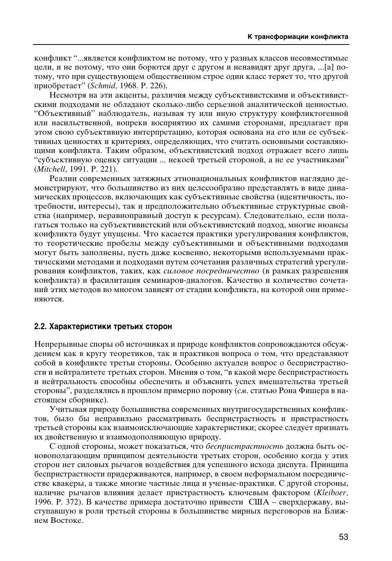конфликт "...является конфликтом не потому, что у разных классов несовместимые цели, и не потому, что они борются друг с другом и ненавидят друг друга, ...[а] потому, что при существующем общественном строе один класс теряет то, что другой приобретает" (*Schmid*, 1968. Р. 226).

Несмотря на эти акценты, различия между субъективистскими и объективистскими подходами не обладают сколько-либо серьезной аналитической ценностью. "Объективный" наблюдатель, называя ту или иную структуру конфликтогенной или насильственной, вопреки восприятию их самими сторонами, предлагает при этом свою субъективную интерпретацию, которая основана на его или ее субъективных ценностях и критериях, определяющих, что считать основными составляющими конфликта. Таким образом, объективистский подход отражает всего лишь "субъективную оценку ситуации ... некоей третьей стороной, а не ее участниками" (Mitchell, 1991. P. 221).

Реалии современных затяжных этнонациональных конфликтов наглядно демонстрируют, что большинство из них целесообразно представлять в виде динамических процессов, включающих как субъективные свойства (идентичность, потребности, интересы), так и предположительно объективные структурные свойства (например, неравноправный доступ к ресурсам). Следовательно, если полагаться только на субъективистский или объективистский подход, многие нюансы конфликта будут упущены. Что касается практики урегулирования конфликтов, то теоретические пробелы между субъективными и объективными подходами могут быть заполнены, пусть даже косвенно, некоторыми используемыми практическими методами и подходами путем сочетания различных стратегий урегулирования конфликтов, таких, как силовое посредничество (в рамках разрешения конфликта) и фасилитация семинаров-диалогов. Качество и количество сочетаний этих методов во многом зависят от стадии конфликта, на которой они применяются.

### **2.2. Характеристики третьих сторон**

Непрерывные споры об источниках и природе конфликтов сопровождаются обсуждением как в кругу теоретиков, так и практиков вопроса о том, что представляют собой в конфликте третьи стороны. Особенно актуален вопрос о беспристрастности и нейтралитете третьих сторон. Мнения о том, "в какой мере беспристрастность и нейтральность способны обеспечить и объяснить успех вмешательства третьей стороны", разделялись в прошлом примерно поровну (*см.* статью Рона Фишера в настоящем сборнике).

Учитывая природу большинства современных внутригосударственных конфликтов, было бы неправильно рассматривать беспристрастность и пристрастность третьей стороны как взаимоисключающие характеристики; скорее следует признать их двойственную и взаимодополняющую природу.

С одной стороны, может показаться, что *беспристрастность* должна быть основополагающим принципом деятельности третьих сторон, особенно когда у этих сторон нет силовых рычагов воздействия для успешного исхода диспута. Принципа беспристрастности придерживаются, например, в своем неформальном посредничестве квакеры, а также многие частные лица и ученые-практики. С другой стороны, наличие рычагов влияния делает пристрастность ключевым фактором (Kleiboer, 1996. P. 372). В качестве примера достаточно привести США – сверхдержаву, выступавшую в роли третьей стороны в большинстве мирных переговоров на Ближнем Востоке.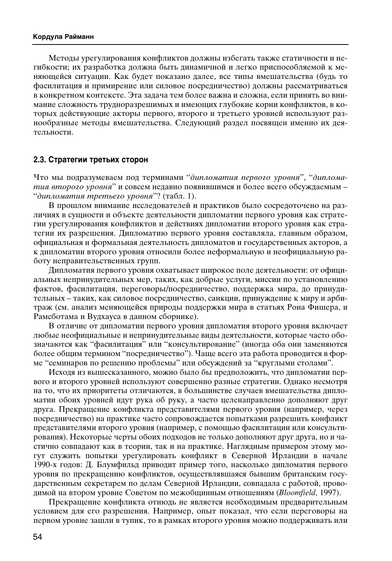Методы урегулирования конфликтов должны избегать также статичности и негибкости; их разработка должна быть динамичной и легко приспособляемой к меняющейся ситуации. Как будет показано далее, все типы вмешательства (будь то фасилитация и примирение или силовое посредничество) должны рассматриваться в конкретном контексте. Эта задача тем более важна и сложна, если принять во внимание сложность трудноразрешимых и имеющих глубокие корни конфликтов, в которых действующие акторы первого, второго и третьего уровней используют разнообразные методы вмешательства. Следующий раздел посвящен именно их деятельности.

## 2.3. Стратегии третьих сторон

Что мы подразумеваем под терминами "дипломатия первого уровня", "диплома*пия второго уровня*" и совсем недавно появившимся и более всего обсуждаемым – "дипломатия третьего уровня"? (табл. 1).

В прошлом внимание исследователей и практиков было сосредоточено на различиях в сущности и объекте деятельности дипломатии первого уровня как стратегии урегулирования конфликтов и действиях дипломатии второго уровня как стратегии их разрешения. Дипломатию первого уровня составляла, главным образом, официальная и формальная деятельность дипломатов и государственных акторов, а к дипломатии второго уровня относили более неформальную и неофициальную работу неправительственных групп.

Дипломатия первого уровня охватывает широкое поле деятельности: от официальных непринудительных мер, таких, как добрые услуги, миссии по установлению фактов, фасилитация, переговоры/посредничество, поддержка мира, до принудительных – таких, как силовое посредничество, санкции, принуждение к миру и арбитраж (см. анализ меняющейся природы поддержки мира в статьях Рона Фишера, и Рамсботама и Вудхауса в данном сборнике).

В отличие от дипломатии первого уровня дипломатия второго уровня включает любые неофициальные и непринудительные виды деятельности, которые часто обозначаются как "фасилитация" или "консультирование" (иногда оба они заменяются более общим термином "посредничество"). Чаще всего эта работа проводится в форме "семинаров по решению проблемы" или обсуждений за "круглыми столами".

Исходя из вышесказанного, можно было бы предположить, что дипломатии первого и второго уровней используют совершенно разные стратегии. Однако несмотря на то, что их приоритеты отличаются, в большинстве случаев вмешательства дипломатии обоих уровней идут рука об руку, а часто целенаправленно дополняют друг друга. Прекращение конфликта представителями первого уровня (например, через посредничество) на практике часто сопровождается попытками разрешить конфликт представителями второго уровня (например, с помощью фасилитации или консультирования). Некоторые черты обоих подходов не только дополняют друг друга, но и частично совпадают как в теории, так и на практике. Наглядным примером этому могут служить попытки урегулировать конфликт в Северной Ирландии в начале 1990-х годов: Д. Блумфильд приводит пример того, насколько дипломатия первого үровня по прекращению конфликтов, осуществлявшаяся бывшим британским государственным секретарем по делам Северной Ирландии, совпадала с работой, проводимой на втором уровне Советом по межобщинным отношениям (*Bloomfield*, 1997).

Прекращение конфликта отнюдь не является необходимым предварительным условием для его разрешения. Например, опыт показал, что если переговоры на первом уровне зашли в тупик, то в рамках второго уровня можно поддерживать или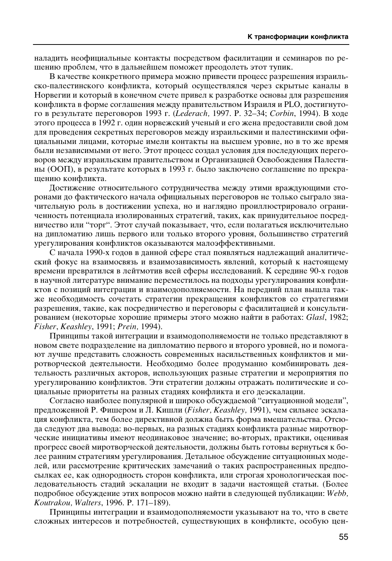наладить неофициальные контакты посредством фасилитации и семинаров по решению проблем, что в дальнейшем поможет преодолеть этот тупик.

В качестве конкретного примера можно привести процесс разрешения израильско-палестинского конфликта, который осуществлялся через скрытые каналы в Норвегии и который в конечном счете привел к разработке основы для разрешения конфликта в форме соглашения между правительством Израиля и PLO, достигнутого в результате переговоров 1993 г. (*Lederach*, 1997. P. 32–34; *Corbin*, 1994). В ходе этого процесса в 1992 г. один норвежский ученый и его жена предоставили свой дом для проведения секретных переговоров между израильскими и палестинскими официальными лицами, которые имели контакты на высшем уровне, но в то же время были независимыми от него. Этот процесс создал условия для последующих переговоров между израильским правительством и Организацией Освобождения Палестины (ООП), в результате которых в 1993 г. было заключено соглашение по прекращению конфликта.

Достижение относительного сотрудничества между этими враждующими сторонами до фактического начала официальных переговоров не только сыграло значительную роль в достижении успеха, но и наглядно проиллюстрировало ограниченность потенциала изолированных стратегий, таких, как принудительное посредничество или "торг". Этот случай показывает, что, если полагаться исключительно на дипломатию лишь первого или только второго уровня, большинство стратегий урегулирования конфликтов оказываются малоэффективными.

С начала 1990-х годов в данной сфере стал появляться надлежащий аналитический фокус на взаимосвязь и взаимозависимость явлений, который к настоящему времени превратился в лейтмотив всей сферы исследований. К середине 90-х годов в научной литературе внимание переместилось на подходы урегулирования конфликтов с позиций интеграции и взаимодополняемости. На передний план вышла также необходимость сочетать стратегии прекращения конфликтов со стратегиями разрешения, такие, как посредничество и переговоры с фасилитацией и консультированием (некоторые хорошие примеры этого можно найти в работах: *Glasl*, 1982; *Fisher*, *Keashley*, 1991; *Prein,* 1994).

Принципы такой интеграции и взаимодополняемости не только представляют в новом свете подразделение на дипломатию первого и второго уровней, но и помогают лучше представить сложность современных насильственных конфликтов и миротворческой деятельности. Необходимо более продуманно комбинировать деятельность различных акторов, использующих разные стратегии и мероприятия по үрегулированию конфликтов. Эти стратегии должны отражать политические и социальные приоритеты на разных стадиях конфликта и его деэскалации.

Согласно наиболее популярной и широко обсуждаемой "ситуационной модели", предложенной Р. Фишером и Л. Кишли *(Fisher, Keashley, 1991)*, чем сильнее эскалация конфликта, тем более директивной должна быть форма вмешательства. Отсюда следуют два вывода: во-первых, на разных стадиях конфликта разные миротворческие инициативы имеют неодинаковое значение; во-вторых, практики, оценивая прогресс своей миротворческой деятельности, должны быть готовы вернуться к более ранним стратегиям урегулирования. Детальное обсуждение ситуационных моделей, или рассмотрение критических замечаний о таких распространенных предпосылках ее, как однородность сторон конфликта, или строгая хронологическая последовательность стадий эскалации не входит в задачи настоящей статьи. (Более подробное обсуждение этих вопросов можно найти в следующей публикации: Webb, *Koutrakou, Walters, 1996. P. 171–189).* 

Принципы интеграции и взаимодополняемости указывают на то, что в свете сложных интересов и потребностей, существующих в конфликте, особую цен-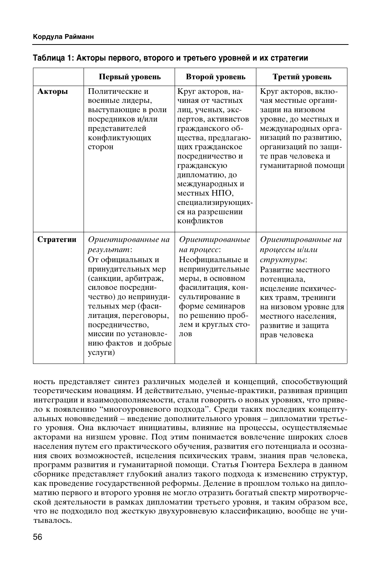|           | Первый уровень                                                                                                                                                                                                                                                             | Второй уровень                                                                                                                                                                                                                                                                               | Третий уровень                                                                                                                                                                                                             |
|-----------|----------------------------------------------------------------------------------------------------------------------------------------------------------------------------------------------------------------------------------------------------------------------------|----------------------------------------------------------------------------------------------------------------------------------------------------------------------------------------------------------------------------------------------------------------------------------------------|----------------------------------------------------------------------------------------------------------------------------------------------------------------------------------------------------------------------------|
| Акторы    | Политические и<br>военные лидеры,<br>выступающие в роли<br>посредников и/или<br>представителей<br>конфликтующих<br>сторон                                                                                                                                                  | Круг акторов, на-<br>чиная от частных<br>лиц, ученых, экс-<br>пертов, активистов<br>гражданского об-<br>щества, предлагаю-<br>щих гражданское<br>посредничество и<br>гражданскую<br>дипломатию, до<br>международных и<br>местных НПО,<br>специализирующих-<br>ся на разрешении<br>конфликтов | Круг акторов, вклю-<br>чая местные органи-<br>зации на низовом<br>уровне, до местных и<br>международных орга-<br>низаций по развитию,<br>организаций по защи-<br>те прав человека и<br>гуманитарной помощи                 |
| Стратегии | Ориентированные на<br>результат:<br>От официальных и<br>принудительных мер<br>(санкции, арбитраж,<br>силовое посредни-<br>чество) до непринуди-<br>тельных мер (фаси-<br>литация, переговоры,<br>посредничество,<br>миссии по установле-<br>нию фактов и добрые<br>услуги) | Ориентированные<br>на процесс:<br>Неофициальные и<br>непринудительные<br>меры, в основном<br>фасилитация, кон-<br>сультирование в<br>форме семинаров<br>по решению проб-<br>лем и круглых сто-<br>лов                                                                                        | Ориентированные на<br>процессы и/или<br>структуры:<br>Развитие местного<br>потенциала,<br>исцеление психичес-<br>ких травм, тренинги<br>на низовом уровне для<br>местного населения,<br>развитие и защита<br>прав человека |

## Таблица 1: Акторы первого, второго и третьего уровней и их стратегии

ность представляет синтез различных моделей и концепций, способствующий теоретическим новациям. И действительно, ученые-практики, развивая принцип интеграции и взаимодополняемости, стали говорить о новых уровнях, что привело к появлению "многоуровневого подхода". Среди таких последних концептуальных нововведений – введение дополнительного уровня – дипломатии третьего уровня. Она включает инициативы, влияние на процессы, осуществляемые акторами на низшем уровне. Под этим понимается вовлечение широких слоев населения путем его практического обучения, развития его потенциала и осознания своих возможностей, исцеления психических травм, знания прав человека, программ развития и гуманитарной помощи. Статья Гюнтера Бехлера в данном сборнике представляет глубокий анализ такого подхода к изменению структур, как проведение государственной реформы. Деление в прошлом только на дипломатию первого и второго уровня не могло отразить богатый спектр миротворческой деятельности в рамках дипломатии третьего уровня, и таким образом все, что не подходило под жесткую двухуровневую классификацию, вообще не учитывалось.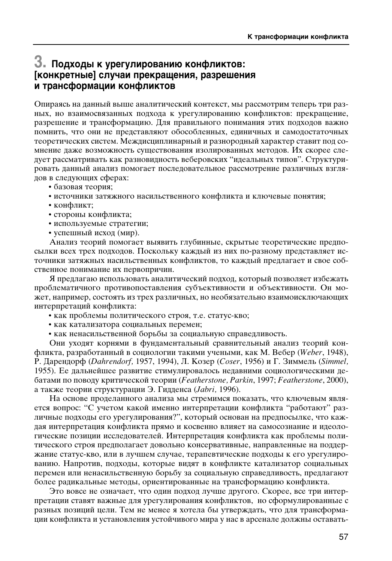## $3.$  Подходы к урегулированию конфликтов: [конкретные] случаи прекращения, разрешения и трансформации конфликтов

Опираясь на данный выше аналитический контекст, мы рассмотрим теперь три разных, но взаимосвязанных подхода к урегулированию конфликтов: прекращение, разрешение и трансформацию. Для правильного понимания этих подходов важно помнить, что они не представляют обособленных, единичных и самодостаточных теоретических систем. Междисциплинарный и разнородный характер ставит под сомнение даже возможность существования изолированных методов. Их скорее следует рассматривать как разновидность веберовских "идеальных типов". Структурировать данный анализ помогает последовательное рассмотрение различных взглядов в следующих сферах:

- базовая теория;
- источники затяжного насильственного конфликта и ключевые понятия;
- конфликт;
- стороны конфликта;
- используемые стратегии;
- успешный исход (мир).

Анализ теорий помогает выявить глубинные, скрытые теоретические предпосылки всех трех подходов. Поскольку каждый из них по-разному представляет источники затяжных насильственных конфликтов, то каждый предлагает и свое собственное понимание их первопричин.

Я предлагаю использовать аналитический подход, который позволяет избежать проблематичного противопоставления субъективности и объективности. Он может, например, состоять из трех различных, но необязательно взаимоисключающих интерпретаций конфликта:

- как проблемы политического строя, т.е. статус-кво;
- как катализатора социальных перемен;
- как ненасильственной борьбы за социальную справедливость.

Они уходят корнями в фундаментальный сравнительный анализ теорий конфликта, разработанный в социологии такими учеными, как М. Вебер (Weber, 1948), Р. Дарендорф (*Dahrendorf,* 1957, 1994), Л. Козер (*Coser*, 1956) и Г. Зиммель (Simmel, 1955). Ее дальнейшее развитие стимулировалось недавними социологическими дебатами по поводу критической теории (Featherstone, Parkin, 1997; *Featherstone*, 2000), а также теории структурации Э. Гидденса (*Jabri*, 1996).

На основе проделанного анализа мы стремимся показать, что ключевым является вопрос: "С учетом какой именно интерпретации конфликта "работают" различные подходы его урегулирования?", который основан на предпосылке, что каждая интерпретация конфликта прямо и косвенно влияет на самосознание и идеологические позиции исследователей. Интерпретация конфликта как проблемы политического строя предполагает довольно консервативные, направленные на поддержание статус-кво, или в лучшем случае, терапевтические подходы к его урегулированию. Напротив, подходы, которые видят в конфликте катализатор социальных перемен или ненасильственную борьбу за социальную справедливость, предлагают более радикальные методы, ориентированные на трансформацию конфликта.

Это вовсе не означает, что один подход лучше другого. Скорее, все три интерпретации ставят важные для урегулирования конфликтов, но сформулированные с разных позиций цели. Тем не менее я хотела бы утверждать, что для трансформации конфликта и установления устойчивого мира у нас в арсенале должны оставать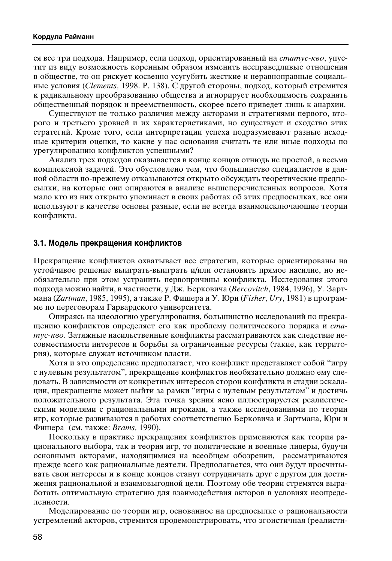ся все три подхода. Например, если подход, ориентированный на *статус-кво*, упустит из виду возможность коренным образом изменить несправедливые отношения в обществе, то он рискует косвенно усугубить жесткие и неравноправные социальные условия (*Clements*, 1998. Р. 138). С другой стороны, подход, который стремится к радикальному преобразованию общества и игнорирует необходимость сохранять общественный порядок и преемственность, скорее всего приведет лишь к анархии.

Существуют не только различия между акторами и стратегиями первого, второго и третьего уровней и их характеристиками, но существует и сходство этих стратегий. Кроме того, если интерпретации успеха подразумевают разные исходные критерии оценки, то какие у нас основания считать те или иные подходы по урегулированию конфликтов успешными?

Анализ трех подходов оказывается в конце концов отнюдь не простой, а весьма комплексной задачей. Это обусловлено тем, что большинство специалистов в данной области по-прежнему отказываются открыто обсуждать теоретические предпосылки, на которые они опираются в анализе вышеперечисленных вопросов. Хотя мало кто из них открыто упоминает в своих работах об этих предпосылках, все они используют в качестве основы разные, если не всегда взаимоисключающие теории конфликта.

### 3.1. Модель прекращения конфликтов

Прекращение конфликтов охватывает все стратегии, которые ориентированы на үстойчивое решение выиграть-выиграть и/или остановить прямое насилие, но необязательно при этом устранить первопричины конфликта. Исследования этого подхода можно найти, в частности, у Дж. Берковича (Bercovitch, 1984, 1996), У. Зартмана (*Zartman*, 1985, 1995), а также Р. Фишера и У. Юри (*Fisher, Ury*, 1981) в программе по переговорам Гарвардского университета.

Опираясь на идеологию урегулирования, большинство исследований по прекращению конфликтов определяет его как проблему политического порядка и *статус-кво*. Затяжные насильственные конфликты рассматриваются как следствие несовместимости интересов и борьбы за ограниченные ресурсы (такие, как территория), которые служат источником власти.

Хотя и это определение предполагает, что конфликт представляет собой "игру с нулевым результатом", прекращение конфликтов необязательно должно ему следовать. В зависимости от конкретных интересов сторон конфликта и стадии эскалации, прекращение может выйти за рамки "игры с нулевым результатом" и достичь положительного результата. Эта точка зрения ясно иллюстрируется реалистическими моделями с рациональными игроками, а также исследованиями по теории игр, которые развиваются в работах соответственно Берковича и Зартмана, Юри и Фишера (см. также: Brams, 1990).

Поскольку в практике прекращения конфликтов применяются как теория рационального выбора, так и теория игр, то политические и военные лидеры, будучи основными акторами, находящимися на всеобщем обозрении, рассматриваются прежде всего как рациональные деятели. Предполагается, что они будут просчитывать свои интересы и в конце концов станут сотрудничать друг с другом для достижения рациональной и взаимовыгодной цели. Поэтому обе теории стремятся выработать оптимальную стратегию для взаимодействия акторов в условиях неопределенности.

Моделирование по теории игр, основанное на предпосылке о рациональности устремлений акторов, стремится продемонстрировать, что эгоистичная (реалисти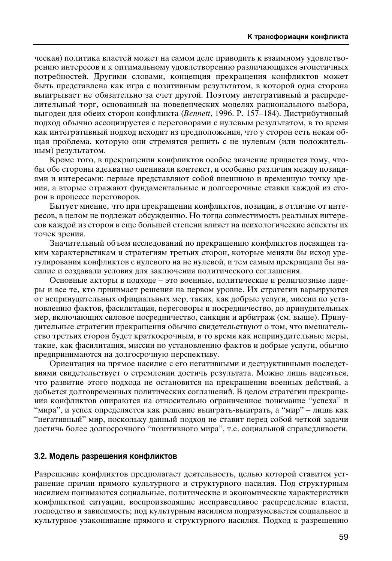ческая) политика властей может на самом деле приводить к взаимному удовлетворению интересов и к оптимальному удовлетворению различающихся эгоистичных потребностей. Другими словами, концепция прекращения конфликтов может быть представлена как игра с позитивным результатом, в которой одна сторона выигрывает не обязательно за счет другой. Поэтому интегративный и распределительный торг, основанный на поведенческих моделях рационального выбора, выгоден для обеих сторон конфликта (*Bennett*, 1996. P. 157–184). Дистрибутивный подход обычно ассоциируется с переговорами с нулевым результатом, в то время как интегративный подход исходит из предположения, что у сторон есть некая общая проблема, которую они стремятся решить с не нулевым (или положительным) результатом.

Кроме того, в прекращении конфликтов особое значение придается тому, чтобы обе стороны адекватно оценивали контекст, и особенно различия между позициями и интересами: первые представляют собой внешнюю и временную точку зрения, а вторые отражают фундаментальные и долгосрочные ставки каждой из сторон в процессе переговоров.

Бытует мнение, что при прекращении конфликтов, позиции, в отличие от интересов, в целом не подлежат обсуждению. Но тогда совместимость реальных интересов каждой из сторон в еще большей степени влияет на психологические аспекты их точек зрения.

Значительный объем исследований по прекращению конфликтов посвящен таким характеристикам и стратегиям третьих сторон, которые меняли бы исход урегулирования конфликтов с нулевого на не нулевой, и тем самым прекращали бы насилие и создавали условия для заключения политического соглашения.

Основные акторы в подходе – это военные, политические и религиозные лидеры и все те, кто принимает решения на первом уровне. Их стратегии варьируются от непринудительных официальных мер, таких, как добрые услуги, миссии по установлению фактов, фасилитация, переговоры и посредничество, до принудительных мер, включающих силовое посредничество, санкции и арбитраж (см. выше). Принудительные стратегии прекращения обычно свидетельствуют о том, что вмешательство третьих сторон будет краткосрочным, в то время как непринудительные меры, такие, как фасилитация, миссии по установлению фактов и добрые услуги, обычно предпринимаются на долгосрочную перспективу.

Ориентация на прямое насилие с его негативными и деструктивными последствиями свидетельствует о стремлении достичь результата. Можно лишь надеяться, что развитие этого подхода не остановится на прекращении военных действий, а добьется долговременных политических соглашений. В целом стратегии прекращения конфликтов опираются на относительно ограниченное понимание "успеха" и "мира", и успех определяется как решение выиграть-выиграть, а "мир" – лишь как "негативный" мир, поскольку данный подход не ставит перед собой четкой задачи достичь более долгосрочного "позитивного мира", т.е. социальной справедливости.

### 3.2. Модель разрешения конфликтов

Разрешение конфликтов предполагает деятельность, целью которой ставится устранение причин прямого культурного и структурного насилия. Под структурным насилием понимаются социальные, политические и экономические характеристики конфликтной ситуации, воспроизводящие несправедливое распределение власти, господство и зависимость; под культурным насилием подразумевается социальное и культурное узаконивание прямого и структурного насилия. Подход к разрешению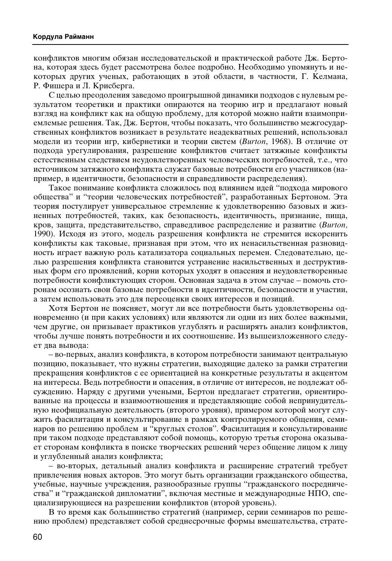конфликтов многим обязан исследовательской и практической работе Дж. Бертона, которая здесь будет рассмотрена более подробно. Необходимо упомянуть и некоторых других ученых, работающих в этой области, в частности, Г. Келмана, Р. Фишера и Л. Крисберга.

С целью преодоления заведомо проигрышной динамики подходов с нулевым результатом теоретики и практики опираются на теорию игр и предлагают новый взгляд на конфликт как на общую проблему, для которой можно найти взаимоприемлемые решения. Так, Дж. Бертон, чтобы показать, что большинство межгосударственных конфликтов возникает в результате неадекватных решений, использовал модели из теории игр, кибернетики и теории систем (Burton, 1968). В отличие от подхода урегулирования, разрешение конфликтов считает затяжные конфликты естественным следствием неудовлетворенных человеческих потребностей, т.е., что источником затяжного конфликта служат базовые потребности его участников (например, в идентичности, безопасности и справедливости распределения).

Такое понимание конфликта сложилось под влиянием идей "подхода мирового общества" и "теории человеческих потребностей", разработанных Бертоном. Эта теория постулирует универсальное стремление к удовлетворению базовых и жизненных потребностей, таких, как безопасность, идентичность, признание, пища, кров, защита, представительство, справедливое распределение и развитие (Burton, 1990). Исходя из этого, модель разрешения конфликта не стремится искоренить конфликты как таковые, признавая при этом, что их ненасильственная разновидность играет важную роль катализатора социальных перемен. Следовательно, целью разрешения конфликта становится устранение насильственных и деструктивных форм его проявлений, корни которых уходят в опасения и неудовлетворенные потребности конфликтующих сторон. Основная задача в этом случае – помочь сторонам осознать свои базовые потребности в идентичности, безопасности и участии, а затем использовать это для переоценки своих интересов и позиций.

Хотя Бертон не поясняет, могут ли все потребности быть удовлетворены одновременно (и при каких условиях) или являются ли одни из них более важными, чем другие, он призывает практиков углублять и расширять анализ конфликтов, чтобы лучше понять потребности и их соотношение. Из вышеизложенного следует два вывода:

– во-первых, анализ конфликта, в котором потребности занимают центральную позицию, показывает, что нужны стратегии, выходящие далеко за рамки стратегии прекращения конфликтов с ее ориентацией на конкретные результаты и акцентом на интересы. Ведь потребности и опасения, в отличие от интересов, не подлежат обсуждению. Наряду с другими учеными, Бертон предлагает стратегии, ориентированные на процессы и взаимоотношения и представляющие собой непринудительную неофициальную деятельность (второго уровня), примером которой могут служить фасилитация и консультирование в рамках контролируемого общения, семинаров по решению проблем и "круглых столов". Фасилитация и консультирование при таком подходе представляют собой помощь, которую третья сторона оказывает сторонам конфликта в поиске творческих решений через общение лицом к лицу и углубленный анализ конфликта;

- во-вторых, детальный анализ конфликта и расширение стратегий требует привлечения новых акторов. Это могут быть организации гражданского общества, учебные, научные учреждения, разнообразные группы "гражданского посредничества" и "гражданской дипломатии", включая местные и международные НПО, специализирующиеся на разрешении конфликтов (второй уровень).

В то время как большинство стратегий (например, серии семинаров по решению проблем) представляет собой среднесрочные формы вмешательства, страте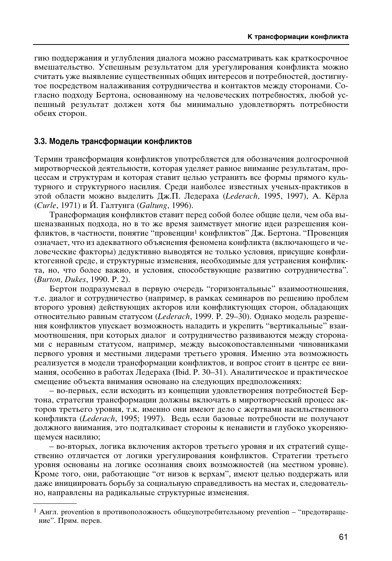гию поддержания и углубления диалога можно рассматривать как краткосрочное вмешательство. Успешным результатом для урегулирования конфликта можно считать уже выявление существенных общих интересов и потребностей, достигнутое посредством налаживания сотрудничества и контактов между сторонами. Согласно подходу Бертона, основанному на человеческих потребностях, любой успешный результат должен хотя бы минимально удовлетворять потребности обеих сторон.

### 3.3. Модель трансформации конфликтов

Термин трансформация конфликтов употребляется для обозначения долгосрочной миротворческой деятельности, которая уделяет равное внимание результатам, процессам и структурам и которая ставит целью устранить все формы прямого культурного и структурного насилия. Среди наиболее известных ученых-практиков в этой области можно выделить Дж.П. Ледераха (Lederach, 1995, 1997), А. Кёрла (*Curle*, 1971) и Й. Галтунга (Galtung, 1996).

Трансформация конфликтов ставит перед собой более общие цели, чем оба вышеназванных подхода, но в то же время заимствует многие идеи разрешения конфликтов, в частности, понятие "провенции<sup>1</sup> конфликтов" Дж. Бертона. "Провенция означает, что из адекватного объяснения феномена конфликта (включающего и человеческие факторы) дедуктивно выводятся не только условия, присущие конфликтогенной среде, и структурные изменения, необходимые для устранения конфликта, но, что более важно, и условия, способствующие развитию сотрудничества". (*Burton, Dukes*, 1990. P. 2).

Бертон подразумевал в первую очередь "горизонтальные" взаимоотношения, т.е. диалог и сотрудничество (например, в рамках семинаров по решению проблем второго уровня) действующих акторов или конфликтующих сторон, обладающих относительно равным статусом (Lederach, 1999. Р. 29–30). Однако модель разрешения конфликтов упускает возможность наладить и укрепить "вертикальные" взаимоотношения, при которых диалог и сотрудничество развиваются между сторонами с неравным статусом, например, между высокопоставленными чиновниками первого уровня и местными лидерами третьего уровня. Именно эта возможность реализуется в модели трансформации конфликтов, и вопрос стоит в центре ее внимания, особенно в работах Ледераха (Ibid. P. 30–31). Аналитическое и практическое смещение объекта внимания основано на следующих предположениях:

– во-первых, если исходить из концепции удовлетворения потребностей Бертона, стратегии трансформации должны включать в миротворческий процесс акторов третьего уровня, т.к. именно они имеют дело с жертвами насильственного конфликта (Lederach, 1995; 1997). Ведь если базовые потребности не получают должного внимания, это подталкивает стороны к ненависти и глубоко укореняющемуся насилию;

– во-вторых, логика включения акторов третьего уровня и их стратегий существенно отличается от логики урегулирования конфликтов. Стратегии третьего үровня основаны на логике осознания своих возможностей (на местном уровне). Кроме того, они, работающие "от низов к верхам", имеют целью поддержать или даже инициировать борьбу за социальную справедливость на местах и, следовательно, направлены на радикальные структурные изменения.

 $1$  Англ. provention в противоположность общеупотребительному prevention – "предотвращение". Прим. перев.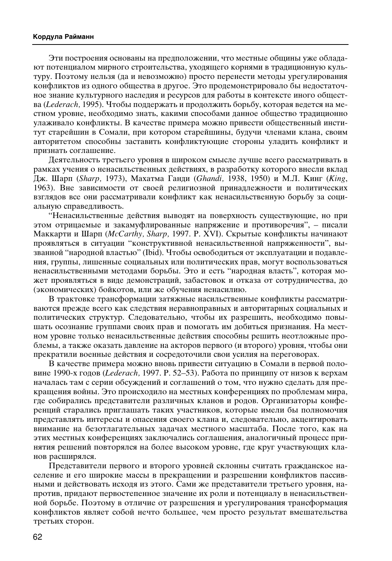#### Кордула Райманн

Эти построения основаны на предположении, что местные общины уже обладают потенциалом мирного строительства, уходящего корнями в традиционную культуру. Поэтому нельзя (да и невозможно) просто перенести методы урегулирования конфликтов из одного общества в другое. Это продемонстрировало бы недостаточное знание культурного наследия и ресурсов для работы в контексте иного общества (Lederach, 1995). Чтобы поддержать и продолжить борьбу, которая ведется на местном уровне, необходимо знать, какими способами данное общество традиционно үлаживало конфликты. В качестве примера можно привести общественный институт старейшин в Сомали, при котором старейшины, будучи членами клана, своим авторитетом способны заставить конфликтующие стороны уладить конфликт и признать соглашение.

Деятельность третьего уровня в широком смысле лучше всего рассматривать в рамках учения о ненасильственных действиях, в разработку которого внесли вклад Дж. Шарп (*Sharp, 1973*), Махатма Ганди (*Ghandi, 1938*, 1950) и М.Л. Кинг (*King*, 1963). Вне зависимости от своей религиозной принадлежности и политических взглядов все они рассматривали конфликт как ненасильственную борьбу за социальную справедливость.

"Ненасильственные действия выводят на поверхность существующие, но при этом отрицаемые и закамуфлированные напряжение и противоречия", – писали Маккарти и Шарп (*McCarthy, Sharp, 1997. P. XVI). Скрытые конфликты начинают* проявляться в ситуации "конструктивной ненасильственной напряженности", вызванной "народной властью" (Ibid). Чтобы освободиться от эксплуатации и подавления, группы, лишенные социальных или политических прав, могут воспользоваться ненасильственными методами борьбы. Это и есть "народная власть", которая может проявляться в виде демонстраций, забастовок и отказа от сотрудничества, до (экономических) бойкотов, или же обучения ненасилию.

В трактовке трансформации затяжные насильственные конфликты рассматриваются прежде всего как следствия неравноправных и авторитарных социальных и политических структур. Следовательно, чтобы их разрешить, необходимо повышать осознание группами своих прав и помогать им добиться признания. На местном уровне только ненасильственные действия способны решить неотложные проблемы, а также оказать давление на акторов первого (и второго) уровня, чтобы они прекратили военные действия и сосредоточили свои усилия на переговорах.

В качестве примера можно вновь привести ситуацию в Сомали в первой половине 1990-х годов (*Lederach*, 1997. Р. 52–53). Работа по принципу от низов к верхам началась там с серии обсуждений и соглашений о том, что нужно сделать для прекращения войны. Это происходило на местных конференциях по проблемам мира, где собирались представители различных кланов и родов. Организаторы конференций старались приглашать таких участников, которые имели бы полномочия представлять интересы и опасения своего клана и, следовательно, акцентировать внимание на безотлагательных задачах местного масштаба. После того, как на этих местных конференциях заключались соглашения, аналогичный процесс принятия решений повторялся на более высоком уровне, где круг участвующих кланов расширялся.

Представители первого и второго уровней склонны считать гражданское население и его широкие массы в прекращении и разрешении конфликтов пассивными и действовать исходя из этого. Сами же представители третьего уровня, напротив, придают первостепенное значение их роли и потенциалу в ненасильственной борьбе. Поэтому в отличие от разрешения и урегулирования трансформация конфликтов являет собой нечто большее, чем просто результат вмешательства третьих сторон.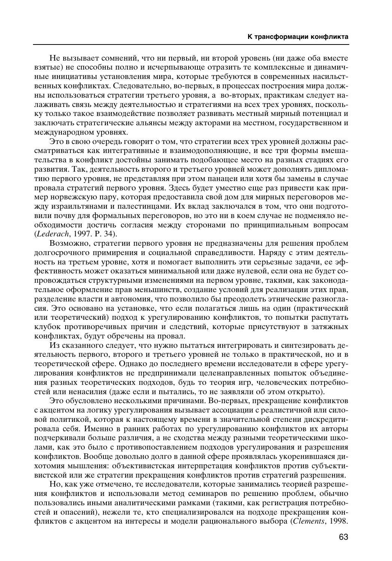Не вызывает сомнений, что ни первый, ни второй уровень (ни даже оба вместе взятые) не способны полно и исчерпывающе отразить те комплексные и динамичные инициативы установления мира, которые требуются в современных насильственных конфликтах. Следовательно, во-первых, в процессах построения мира должны использоваться стратегии третьего уровня, а во-вторых, практикам следует налаживать связь между деятельностью и стратегиями на всех трех уровнях, поскольку только такое взаимодействие позволяет развивать местный мирный потенциал и заключать стратегические альянсы между акторами на местном, государственном и международном уровнях.

Это в свою очередь говорит о том, что стратегии всех трех уровней должны рассматриваться как интегративные и взаимодополняющие, и все три формы вмешательства в конфликт достойны занимать подобающее место на разных стадиях его развития. Так, деятельность второго и третьего уровней может дополнять дипломатию первого уровня, не представляя при этом панацеи или хотя бы замены в случае провала стратегий первого уровня. Здесь будет уместно еще раз привести как пример норвежскую пару, которая предоставила свой дом для мирных переговоров между израильтянами и палестинцами. Их вклад заключался в том, что они подготовили почву для формальных переговоров, но это ни в коем случае не подменяло необходимости достичь согласия между сторонами по принципиальным вопросам (*Lederach*, 1997. P. 34).

Возможно, стратегии первого уровня не предназначены для решения проблем долгосрочного примирения и социальной справедливости. Наряду с этим деятельность на третьем уровне, хотя и помогает выполнить эти серьезные задачи, ее эффективность может оказаться минимальной или даже нулевой, если она не будет сопровождаться структурными изменениями на первом уровне, такими, как законодательное оформление прав меньшинств, создание условий для реализации этих прав, разделение власти и автономия, что позволило бы преодолеть этнические разногласия. Это основано на установке, что если полагаться лишь на один (практический или теоретический) подход к урегулированию конфликтов, то попытки распутать клубок противоречивых причин и следствий, которые присутствуют в затяжных конфликтах, будут обречены на провал.

Из сказанного следует, что нужно пытаться интегрировать и синтезировать деятельность первого, второго и третьего уровней не только в практической, но и в теоретической сфере. Однако до последнего времени исследователи в сфере урегулирования конфликтов не предпринимали целенаправленных попыток объединения разных теоретических подходов, будь то теория игр, человеческих потребностей или ненасилия (даже если и пытались, то не заявляли об этом открыто).

Это обусловлено несколькими причинами. Во-первых, прекращение конфликтов с акцентом на логику урегулирования вызывает ассоциации с реалистичной или силовой политикой, которая к настоящему времени в значительной степени дискредитировала себя. Именно в ранних работах по урегулированию конфликтов их авторы подчеркивали больше различия, а не сходства между разными теоретическими школами, как это было с противопоставлением подходов урегулирования и разрешения конфликтов. Вообще довольно долго в данной сфере проявлялась укоренившаяся дихотомия мышления: объективистская интерпретация конфликтов против субъективистской или же стратегии прекращения конфликтов против стратегий разрешения.

Но, как уже отмечено, те исследователи, которые занимались теорией разрешения конфликтов и использовали метод семинаров по решению проблем, обычно пользовались иными аналитическими рамками (такими, как регистрация потребностей и опасений), нежели те, кто специализировался на подходе прекращения конфликтов с акцентом на интересы и модели рационального выбора (*Clements*, 1998.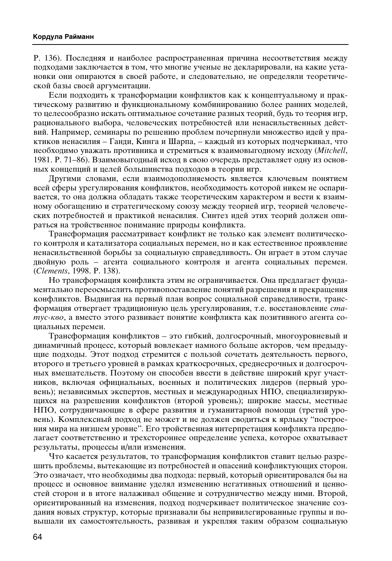Р. 136). Последняя и наиболее распространенная причина несоответствия между подходами заключается в том, что многие ученые не декларировали, на какие установки они опираются в своей работе, и следовательно, не определяли теоретической базы своей аргументации.

Если подходить к трансформации конфликтов как к концептуальному и практическому развитию и функциональному комбинированию более ранних моделей, то целесообразно искать оптимальное сочетание разных теорий, будь то теория игр, рационального выбора, человеческих потребностей или ненасильственных действий. Например, семинары по решению проблем почерпнули множество идей у практиков ненасилия – Ганди, Кинга и Шарпа, – каждый из которых подчеркивал, что необходимо уважать противника и стремиться к взаимовыгодному исходу (Mitchell, 1981. Р. 71–86). Взаимовыгодный исход в свою очередь представляет одну из основных концепций и целей большинства подходов в теории игр.

Другими словами, если взаимодополняемость является ключевым понятием всей сферы урегулирования конфликтов, необходимость которой никем не оспаривается, то она должна обладать также теоретическим характером и вести к взаимному обогащению и стратегическому союзу между теорией игр, теорией человеческих потребностей и практикой ненасилия. Синтез идей этих теорий должен опираться на тройственное понимание природы конфликта.

Трансформация рассматривает конфликт не только как элемент политического контроля и катализатора социальных перемен, но и как естественное проявление ненасильственной борьбы за социальную справедливость. Он играет в этом случае двойную роль – агента социального контроля и агента социальных перемен. (*Clements*, 1998. P. 138).

Но трансформация конфликта этим не ограничивается. Она предлагает фундаментально переосмыслить противопоставление понятий разрешения и прекращения конфликтов. Выдвигая на первый план вопрос социальной справедливости, трансформация отвергает традиционную цель урегулирования, т.е. восстановление ста*тус-кво*, а вместо этого развивает понятие конфликта как позитивного агента социальных перемен.

Трансформация конфликтов – это гибкий, долгосрочный, многоуровневый и динамичный процесс, который вовлекает намного больше акторов, чем предыдущие подходы. Этот подход стремится с пользой сочетать деятельность первого, второго и третьего уровней в рамках краткосрочных, среднесрочных и долгосрочных вмешательств. Поэтому он способен ввести в действие широкий круг участников, включая официальных, военных и политических лидеров (первый уровень); независимых экспертов, местных и международных НПО, специализирующихся на разрешении конфликтов (второй уровень); широкие массы, местные НПО, сотрудничающие в сфере развития и гуманитарной помощи (третий уровень). Комплексный подход не может и не должен сводиться к ярлыку "построения мира на низшем уровне". Его тройственная интерпретация конфликта предполагает соответственно и трехстороннее определение успеха, которое охватывает результаты, процессы и/или изменения.

Что касается результатов, то трансформация конфликтов ставит целью разрешить проблемы, вытекающие из потребностей и опасений конфликтующих сторон. Это означает, что необходимы два подхода: первый, который ориентировался бы на процесс и основное внимание уделял изменению негативных отношений и ценностей сторон и в итоге налаживал общение и сотрудничество между ними. Второй, ориентированный на изменения, подход подчеркивает политическое значение создания новых структур, которые признавали бы непривилегированные группы и повышали их самостоятельность, развивая и укрепляя таким образом социальную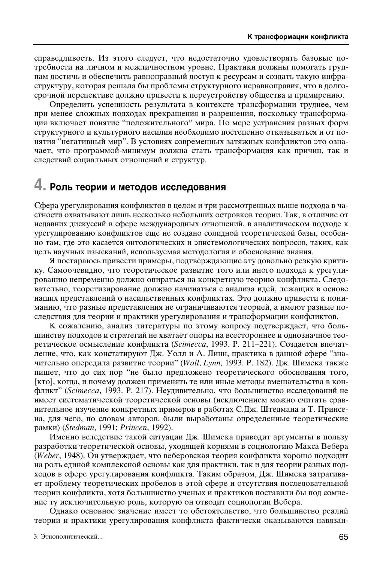справедливость. Из этого следует, что недостаточно удовлетворять базовые потребности на личном и межличностном уровне. Практики должны помогать группам достичь и обеспечить равноправный доступ к ресурсам и создать такую инфраструктуру, которая решала бы проблемы структурного неравноправия, что в долгосрочной перспективе должно привести к переустройству общества и примирению.

Определить успешность результата в контексте трансформации труднее, чем при менее сложных подходах прекращения и разрешения, поскольку трансформация включает понятие "положительного" мира. По мере устранения разных форм структурного и культурного насилия необходимо постепенно отказываться и от понятия "негативный мир". В условиях современных затяжных конфликтов это означает, что программой-минимум должна стать трансформация как причин, так и следствий социальных отношений и структур.

# 4. Роль теории и методов исследования

Сфера урегулирования конфликтов в целом и три рассмотренных выше подхода в частности охватывают лишь несколько небольших островков теории. Так, в отличие от недавних дискуссий в сфере международных отношений, в аналитическом подходе к урегулированию конфликтов еще не создано солидной теоретической базы, особенно там, где это касается онтологических и эпистемологических вопросов, таких, как цель научных изысканий, используемая методология и обоснование знания.

Я постараюсь привести примеры, подтверждающие эту довольно резкую критику. Самоочевидно, что теоретическое развитие того или иного подхода к урегулированию непременно должно опираться на конкретную теорию конфликта. Следовательно, теоретизирование должно начинаться с анализа идей, лежащих в основе наших представлений о насильственных конфликтах. Это должно привести к пониманию, что разные представления не ограничиваются теорией, а имеют разные последствия для теории и практики урегулирования и трансформации конфликтов.

К сожалению, анализ литературы по этому вопросу подтверждает, что большинству подходов и стратегий не хватает опоры на всестороннее и однозначное теоретическое осмысление конфликта (Scimecca, 1993. Р. 211-221). Создается впечатление, что, как констатируют Дж. Уолл и А. Линн, практика в данной сфере "значительно опередила развитие теории" (Wall, Lynn, 1993. Р. 182). Дж. Шимека также пишет, что до сих пор "не было предложено теоретического обоснования того, [кто], когда, и почему должен применять те или иные методы вмешательства в конфликт" (Scimecca, 1993. Р. 217). Неудивительно, что большинство исследований не имеет систематической теоретической основы (исключением можно считать сравнительное изучение конкретных примеров в работах С.Дж. Штедмана и Т. Принсена, для чего, по словам авторов, были выработаны определенные теоретические рамки) (Stedman, 1991; Princen, 1992).

Именно вследствие такой ситуации Дж. Шимека приводит аргументы в пользу разработки теоретической основы, уходящей корнями в социологию Макса Вебера (Weber, 1948). Он утверждает, что веберовская теория конфликта хорошо подходит на роль единой комплексной основы как для практики, так и для теории разных подходов в сфере урегулирования конфликта. Таким образом, Дж. Шимека затрагивает проблему теоретических пробелов в этой сфере и отсутствия последовательной теории конфликта, хотя большинство ученых и практиков поставили бы под сомнение ту исключительную роль, которую он отводит социологии Вебера.

Однако основное значение имеет то обстоятельство, что большинство реалий теории и практики урегулирования конфликта фактически оказываются навязан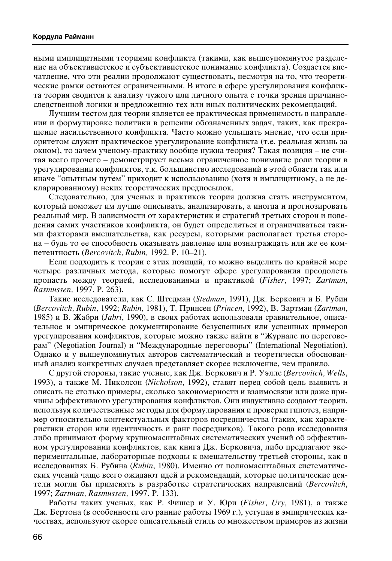ными имплицитными теориями конфликта (такими, как вышеупомянутое разделение на объективистское и субъективистское понимание конфликта). Создается впечатление, что эти реалии продолжают существовать, несмотря на то, что теоретические рамки остаются ограниченными. В итоге в сфере урегулирования конфликта теория сводится к анализу чужого или личного опыта с точки зрения причинноследственной логики и предложению тех или иных политических рекомендаций.

Лучшим тестом для теории является ее практическая применимость в направлении и формулировке политики в решении обозначенных задач, таких, как прекращение насильственного конфликта. Часто можно услышать мнение, что если приоритетом служит практическое урегулирование конфликта (т.е. реальная жизнь за окном), то зачем ученому-практику вообще нужна теория? Такая позиция – не считая всего прочего – демонстрирует весьма ограниченное понимание роли теории в үрегулировании конфликтов, т.к. большинство исследований в этой области так или иначе "опытным путем" приходит к использованию (хотя и имплицитному, а не декларированному) неких теоретических предпосылок.

Следовательно, для ученых и практиков теория должна стать инструментом, который поможет им лучше описывать, анализировать, а иногда и прогнозировать реальный мир. В зависимости от характеристик и стратегий третьих сторон и поведения самих участников конфликта, он будет определяться и ограничиваться такими факторами вмешательства, как ресурсы, которыми располагает третья сторона – будь то ее способность оказывать давление или вознаграждать или же ее компетентность (Bercovitch, Rubin, 1992. P. 10–21).

Если подходить к теории с этих позиций, то можно выделить по крайней мере четыре различных метода, которые помогут сфере урегулирования преодолеть пропасть между теорией, исследованиями и практикой (*Fisher*, 1997; *Zartman*, *Rasmussen,* 1997. P. 263).

Такие исследователи, как С. Штедман (*Stedman*, 1991), Дж. Беркович и Б. Рубин (*Bercovitch, Rubin, 1992; Rubin, 1981*), Т. Принсен (*Princen, 1992*), В. Зартман (*Zartman*, 1985) и В. Жабри (*Jabri*, 1990), в своих работах использовали сравнительное, описательное и эмпирическое документирование безуспешных или успешных примеров үрегулирования конфликтов, которые можно также найти в "Журнале по переговорам" (Negotiation Journal) и "Международные переговоры" (International Negotiation). Однако и у вышеупомянутых авторов систематический и теоретически обоснованный анализ конкретных случаев представляет скорее исключение, чем правило.

С другой стороны, такие ученые, как Дж. Беркович и Р. Уэллс (Bercovitch, Wells, 1993), а также М. Николсон (Nicholson, 1992), ставят перед собой цель выявить и описать не столько примеры, сколько закономерности и взаимосвязи или даже причины эффективного урегулирования конфликтов. Они индуктивно создают теории, используя количественные методы для формулирования и проверки гипотез, например относительно контекстуальных факторов посредничества (таких, как характеристики сторон или идентичность и ранг посредников). Такого рода исследования либо принимают форму крупномасштабных систематических учений об эффективном урегулировании конфликтов, как книга Дж. Берковича, либо предлагают экспериментальные, лабораторные подходы к вмешательству третьей стороны, как в исследованиях Б. Рубина (Rubin, 1980). Именно от полномасштабных систематических учений чаще всего ожидают идей и рекомендаций, которые политические деятели могли бы применять в разработке стратегических направлений (Bercovitch, 1997; *Zartman, Rasmussen, 1997. P. 133*).

Работы таких ученых, как Р. Фишер и У. Юри (*Fisher, Ury,* 1981), а также Дж. Бертона (в особенности его ранние работы 1969 г.), уступая в эмпирических качествах, используют скорее описательный стиль со множеством примеров из жизни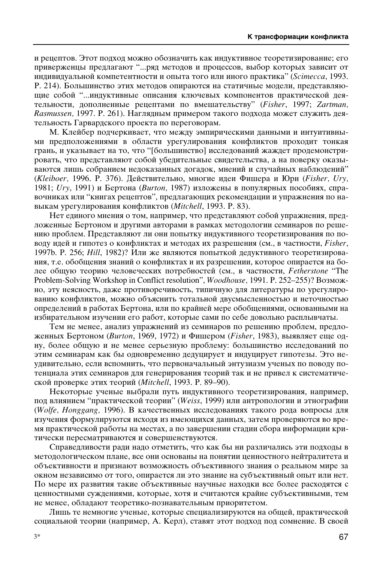и рецептов. Этот подход можно обозначить как индуктивное теоретизирование; его приверженцы предлагают "...ряд методов и процессов, выбор которых зависит от индивидуальной компетентности и опыта того или иного практика" (*Scimecca*, 1993. Р. 214). Большинство этих методов опираются на статичные модели, представляющие собой "...индуктивные описания ключевых компонентов практической деятельности, дополненные рецептами по вмешательству" (Fisher, 1997; Zartman, *Rasmussen,* 1997. P. 261). Наглядным примером такого подхода может служить деятельность Гарвардского проекта по переговорам.

М. Клейбер подчеркивает, что между эмпирическими данными и интуитивными предположениями в области урегулирования конфликтов проходит тонкая грань, и указывает на то, что "[большинство] исследований жаждет продемонстрировать, что представляют собой убедительные свидетельства, а на поверку оказываются лишь собранием недоказанных догадок, мнений и случайных наблюдений" (*Kleiboer,* 1996. ê. 376). ÑÂÈÒÚ'ËÚÂθÌÓ, ÏÌÓ"Ë ˉÂË î˯‡ Ë ûË (*Fisher, Ury,* 1981; *Ury*, 1991) и Бертона (*Burton*, 1987) изложены в популярных пособиях, справочниках или "книгах рецептов", предлагающих рекомендации и упражнения по навыкам урегулирования конфликтов (Mitchell, 1993. P. 83).

Нет единого мнения о том, например, что представляют собой упражнения, предложенные Бертоном и другими авторами в рамках методологии семинаров по решению проблем. Представляют ли они попытку индуктивного теоретизирования по поводу идей и гипотез о конфликтах и методах их разрешения (см., в частности, *Fisher*, 1997b. P. 256; *Hill*, 1982)? Или же являются попыткой дедуктивного теоретизирования, т.е. обобщения знаний о конфликтах и их разрешении, которое опирается на более общую теорию человеческих потребностей (см., в частности, Fetherstone "The Problem-Solving Workshop in Conflict resolution", *Woodhouse*, 1991. Р. 252-255)? Возможно, эту неясность, даже противоречивость, типичную для литературы по урегулированию конфликтов, можно объяснить тотальной двусмысленностью и неточностью определений в работах Бертона, или по крайней мере обобщениями, основанными на избирательном изучении его работ, которые сами по себе довольно расплывчаты.

Тем не менее, анализ упражнений из семинаров по решению проблем, предложенных Бертоном (*Burton*, 1969, 1972) и Фишером (*Fisher*, 1983), выявляет еще одну, более общую и не менее серьезную проблему: большинство исследований по этим семинарам как бы одновременно дедуцирует и индуцирует гипотезы. Это неудивительно, если вспомнить, что первоначальный энтузиазм ученых по поводу потенциала этих семинаров для генерирования теорий так и не привел к систематической проверке этих теорий (Mitchell, 1993. Р. 89–90).

Некоторые ученые выбрали путь индуктивного теоретизирования, например, под влиянием "практической теории" (Weiss, 1999) или антропологии и этнографии (*Wolfe, Honggang, 1996*). В качественных исследованиях такого рода вопросы для изучения формулируются исходя из имеющихся данных, затем проверяются во время практической работы на местах, а по завершении стадии сбора информации критически пересматриваются и совершенствуются.

Справедливости ради надо отметить, что как бы ни различались эти подходы в методологическом плане, все они основаны на понятии ценностного нейтралитета и объективности и признают возможность объективного знания о реальном мире за окном независимо от того, опирается ли это знание на субъективный опыт или нет. По мере их развития такие объективные научные находки все более расходятся с ценностными суждениями, которые, хотя и считаются крайне субъективными, тем не менее, обладают теоретико-познавательным приоритетом.

Лишь те немногие ученые, которые специализируются на общей, практической социальной теории (например, А. Керл), ставят этот подход под сомнение. В своей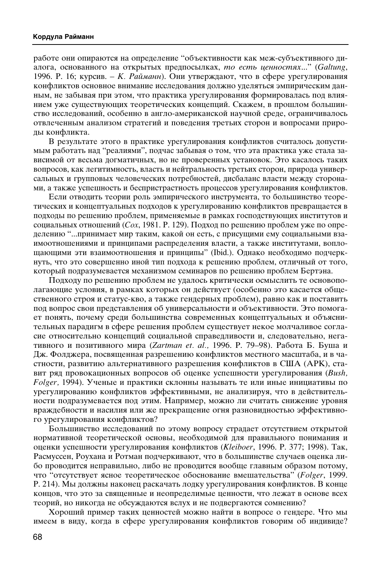работе они опираются на определение "объективности как меж-субъективного диалога, основанного на открытых предпосылках, *то есть ценностях...*" (*Galtung*, 1996. P. 16; курсив. – *K. Райманн*). Они утверждают, что в сфере урегулирования конфликтов основное внимание исследования должно уделяться эмпирическим данным, не забывая при этом, что практика урегулирования формировалась под влиянием уже существующих теоретических концепций. Скажем, в прошлом большинство исследований, особенно в англо-американской научной среде, ограничивалось отвлеченным анализом стратегий и поведения третьих сторон и вопросами природы конфликта.

В результате этого в практике урегулирования конфликтов считалось допустимым работать над "реалиями", подчас забывая о том, что эта практика уже стала зависимой от весьма догматичных, но не проверенных установок. Это касалось таких вопросов, как легитимность, власть и нейтральность третьих сторон, природа универсальных и групповых человеческих потребностей, дисбаланс власти между сторонами, а также успешность и беспристрастность процессов урегулирования конфликтов.

Если отводить теории роль эмпирического инструмента, то большинство теоретических и концептуальных подходов к урегулированию конфликтов превращается в подходы по решению проблем, применяемые в рамках господствующих институтов и социальных отношений (*Cox*, 1981. P. 129). Подход по решению проблем уже по определению "...принимает мир таким, какой он есть, с присущими ему социальными взаимоотношениями и принципами распределения власти, а также институтами, воплощающими эти взаимоотношения и принципы" (Ibid.). Однако необходимо подчеркнуть, что это совершенно иной тип подхода к решению проблем, отличный от того, который подразумевается механизмом семинаров по решению проблем Бертэна.

Подходу по решению проблем не удалось критически осмыслить те основополагающие условия, в рамках которых он действует (особенно это касается общественного строя и статус-кво, а также гендерных проблем), равно как и поставить под вопрос свои представления об универсальности и объективности. Это помогает понять, почему среди большинства современных концептуальных и объяснительных парадигм в сфере решения проблем существует некое молчаливое согласие относительно концепций социальной справедливости и, следовательно, негативного и позитивного мира (Zartman et. al., 1996. P. 79–98). Работа Б. Буша и Дж. Фолджера, посвященная разрешению конфликтов местного масштаба, и в частности, развитию альтернативного разрешения конфликтов в США (APK), ставит ряд провокационных вопросов об оценке успешности урегулирования (Bush, *Folger*, 1994). Ученые и практики склонны называть те или иные инициативы по урегулированию конфликтов эффективными, не анализируя, что в действительности подразумевается под этим. Например, можно ли считать снижение уровня враждебности и насилия или же прекращение огня разновидностью эффективного урегулирования конфликтов?

Большинство исследований по этому вопросу страдает отсутствием открытой нормативной теоретической основы, необходимой для правильного понимания и оценки успешности урегулирования конфликтов (Kleiboer, 1996. P. 377; 1998). Так, Расмуссен, Роухана и Ротман подчеркивают, что в большинстве случаев оценка либо проводится неправильно, либо не проводится вообще главным образом потому, что "отсутствует ясное теоретическое обоснование вмешательства" (Folger, 1999. Р. 214). Мы должны наконец раскачать лодку урегулирования конфликтов. В конце концов, что это за священные и неопределимые ценности, что лежат в основе всех теорий, но никогда не обсуждаются вслух и не подвергаются сомнению?

Хороший пример таких ценностей можно найти в вопросе о гендере. Что мы имеем в виду, когда в сфере урегулирования конфликтов говорим об индивиде?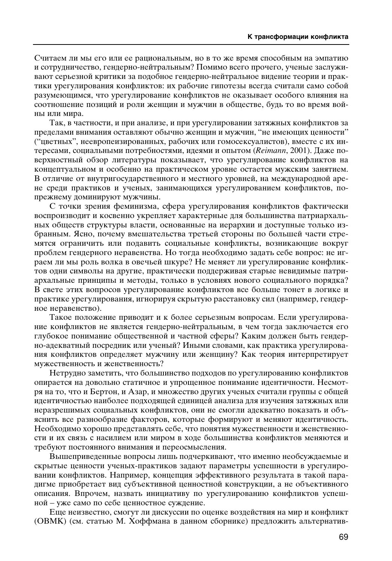Считаем ли мы его или ее рациональным, но в то же время способным на эмпатию и сотрудничество, гендерно-нейтральным? Помимо всего прочего, ученые заслуживают серьезной критики за подобное гендерно-нейтральное видение теории и практики урегулирования конфликтов: их рабочие гипотезы всегда считали само собой разумеющимся, что урегулирование конфликтов не оказывает особого влияния на соотношение позиций и роли женщин и мужчин в обществе, будь то во время войны или мира.

Так, в частности, и при анализе, и при урегулировании затяжных конфликтов за пределами внимания оставляют обычно женщин и мужчин, "не имеющих ценности" ("цветных", неевропеизированных, рабочих или гомосексуалистов), вместе с их интересами, социальными потребностями, идеями и опытом (Reimann, 2001). Даже поверхностный обзор литературы показывает, что урегулирование конфликтов на концептуальном и особенно на практическом уровне остается мужским занятием. В отличие от внутригосударственного и местного уровней, на международной арене среди практиков и ученых, занимающихся урегулированием конфликтов, попрежнему доминируют мужчины.

С точки зрения феминизма, сфера урегулирования конфликтов фактически воспроизводит и косвенно укрепляет характерные для большинства патриархальных обществ структуры власти, основанные на иерархии и доступные только избранным. Ясно, почему вмешательства третьей стороны по большей части стремятся ограничить или подавить социальные конфликты, возникающие вокруг проблем гендерного неравенства. Но тогда необходимо задать себе вопрос: не играем ли мы роль волка в овечьей шкуре? Не меняет ли урегулирование конфликтов одни символы на другие, практически поддерживая старые невидимые патриархальные принципы и методы, только в условиях нового социального порядка? В свете этих вопросов урегулирование конфликтов все больше тонет в логике и практике урегулирования, игнорируя скрытую расстановку сил (например, гендерное неравенство).

Такое положение приводит и к более серьезным вопросам. Если урегулирование конфликтов не является гендерно-нейтральным, в чем тогда заключается его глубокое понимание общественной и частной сферы? Каким должен быть гендерно-адекватный посредник или ученый? Иными словами, как практика урегулирования конфликтов определяет мужчину или женщину? Как теория интерпретирует мужественность и женственность?

Нетрудно заметить, что большинство подходов по урегулированию конфликтов опирается на довольно статичное и упрощенное понимание идентичности. Несмотря на то, что и Бертон, и Азар, и множество других ученых считали группы с общей идентичностью наиболее подходящей единицей анализа для изучения затяжных или неразрешимых социальных конфликтов, они не смогли адекватно показать и объяснить все разнообразие факторов, которые формируют и меняют идентичность. Необходимо хорошо представлять себе, что понятия мужественности и женственности и их связь с насилием или миром в ходе большинства конфликтов меняются и требуют постоянного внимания и переосмысления.

Вышеприведенные вопросы лишь подчеркивают, что именно необсуждаемые и скрытые ценности ученых-практиков задают параметры успешности в урегулировании конфликтов. Например, концепция эффективного результата в такой парадигме приобретает вид субъективной ценностной конструкции, а не объективного описания. Впрочем, назвать инициативу по урегулированию конфликтов успешной – уже само по себе ценностное суждение.

Еще неизвестно, смогут ли дискуссии по оценке воздействия на мир и конфликт (ОВМК) (см. статью М. Хоффмана в данном сборнике) предложить альтернатив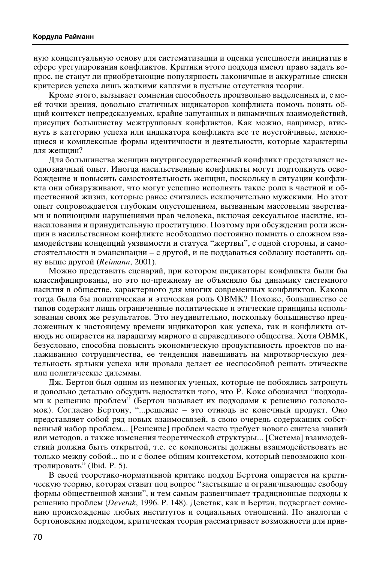ную концептуальную основу для систематизации и оценки успешности инициатив в сфере урегулирования конфликтов. Критики этого подхода имеют право задать вопрос, не станут ли приобретающие популярность лаконичные и аккуратные списки критериев успеха лишь жалкими каплями в пустыне отсутствия теории.

Кроме этого, вызывает сомнения способность произвольно выделенных и, с моей точки зрения, довольно статичных индикаторов конфликта помочь понять общий контекст непредсказуемых, крайне запутанных и динамичных взаимодействий, присущих большинству межгрупповых конфликтов. Как можно, например, втиснуть в категорию успеха или индикатора конфликта все те неустойчивые, меняющиеся и комплексные формы идентичности и деятельности, которые характерны для женщин?

Для большинства женщин внутригосударственный конфликт представляет неоднозначный опыт. Иногда насильственные конфликты могут подтолкнуть освобождение и повысить самостоятельность женщин, поскольку в ситуации конфликта они обнаруживают, что могут успешно исполнять такие роли в частной и общественной жизни, которые ранее считались исключительно мужскими. Но этот опыт сопровождается глубоким опустошением, вызванным массовыми зверствами и вопиющими нарушениями прав человека, включая сексуальное насилие, изнасилования и принудительную проституцию. Поэтому при обсуждении роли женщин в насильственном конфликте необходимо постоянно помнить о сложном взаимодействии концепций уязвимости и статуса "жертвы", с одной стороны, и самостоятельности и эмансипации – с другой, и не поддаваться соблазну поставить одну выше другой (*Reimann*, 2001).

Можно представить сценарий, при котором индикаторы конфликта были бы классифицированы, но это по-прежнему не объясняло бы динамику системного насилия в обществе, характерного для многих современных конфликтов. Какова тогда была бы политическая и этическая роль ОВМК? Похоже, большинство ее типов содержит лишь ограниченные политические и этические принципы использования своих же результатов. Это неудивительно, поскольку большинство предложенных к настоящему времени индикаторов как успеха, так и конфликта отнюдь не опирается на парадигму мирного и справедливого общества. Хотя ОВМК, безусловно, способна повысить экономическую продуктивность проектов по налаживанию сотрудничества, ее тенденция навешивать на миротворческую деятельность ярлыки успеха или провала делает ее неспособной решать этические или политические дилеммы.

Дж. Бертон был одним из немногих ученых, которые не побоялись затронуть и довольно детально обсудить недостатки того, что Р. Кокс обозначил "подходами к решению проблем" (Бертон называет их подходами к решению головоломок). Согласно Бертону, "...решение – это отнюдь не конечный продукт. Оно представляет собой ряд новых взаимосвязей, в свою очередь содержащих собственный набор проблем... [Решение] проблем часто требует нового синтеза знаний или методов, а также изменения теоретической структуры... [Система] взаимодействий должна быть открытой, т.е. ее компоненты должны взаимодействовать не только между собой... но и с более общим контекстом, который невозможно контролировать" (Ibid. P. 5).

В своей теоретико-нормативной критике подход Бертона опирается на критическую теорию, которая ставит под вопрос "застывшие и ограничивающие свободу формы общественной жизни", и тем самым развенчивает традиционные подходы к решению проблем (*Devetak*, 1996. P. 148). Деветак, как и Бертэн, подвергает сомнению происхождение любых институтов и социальных отношений. По аналогии с бертоновским подходом, критическая теория рассматривает возможности для прив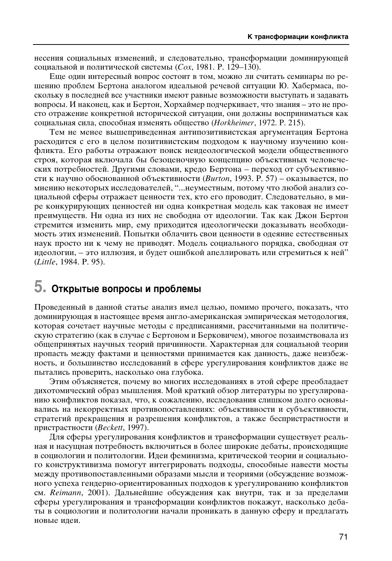несения социальных изменений, и следовательно, трансформации доминирующей  $\chi$ еоциальной и политической системы (*Cox*, 1981. Р. 129–130).

Еще один интересный вопрос состоит в том, можно ли считать семинары по решению проблем Бертона аналогом идеальной речевой ситуации Ю. Хабермаса, поскольку в последней все участники имеют равные возможности выступать и задавать вопросы. И наконец, как и Бертон, Хорхаймер подчеркивает, что знания – это не просто отражение конкретной исторической ситуации, они должны восприниматься как социальная сила, способная изменять общество (*Horkheimer*, 1972. P. 215).

Тем не менее вышеприведенная антипозитивистская аргументация Бертона расходится с его в целом позитивистским подходом к научному изучению конфликта. Его работы отражают поиск неидеологической модели общественного строя, которая включала бы безоценочную концепцию объективных человеческих потребностей. Другими словами, кредо Бертона – переход от субъективности к научно обоснованной объективности (*Burton*, 1993. P. 57) – оказывается, по мнению некоторых исследователей, "...неуместным, потому что любой анализ социальной сферы отражает ценности тех, кто его проводит. Следовательно, в мире конкурирующих ценностей ни одна конкретная модель как таковая не имеет преимуществ. Ни одна из них не свободна от идеологии. Так как Джон Бертон стремится изменить мир, ему приходится идеологически доказывать необходимость этих изменений. Попытки облачить свои ценности в одеяние естественных наук просто ни к чему не приводят. Модель социального порядка, свободная от идеологии, – это иллюзия, и будет ошибкой апеллировать или стремиться к ней" (*Little*, 1984. P. 95).

# $5.$  Открытые вопросы и проблемы

Проведенный в данной статье анализ имел целью, помимо прочего, показать, что доминирующая в настоящее время англо-американская эмпирическая методология, которая сочетает научные методы с предписаниями, рассчитанными на политическую стратегию (как в случае с Бертоном и Берковичем), многое позаимствовала из общепринятых научных теорий причинности. Характерная для социальной теории пропасть между фактами и ценностями принимается как данность, даже неизбежность, и большинство исследований в сфере урегулирования конфликтов даже не пытались проверить, насколько она глубока.

Этим объясняется, почему во многих исследованиях в этой сфере преобладает дихотомический образ мышления. Мой краткий обзор литературы по урегулированию конфликтов показал, что, к сожалению, исследования слишком долго основывались на некорректных противопоставлениях: объективности и субъективности, стратегий прекращения и разрешения конфликтов, а также беспристрастности и пристрастности (*Beckett*, 1997).

Для сферы урегулирования конфликтов и трансформации существует реальная и насущная потребность включиться в более широкие дебаты, происходящие в социологии и политологии. Идеи феминизма, критической теории и социального конструктивизма помогут интегрировать подходы, способные навести мосты между противопоставленными образами мысли и теориями (обсуждение возможного успеха гендерно-ориентированных подходов к урегулированию конфликтов см. *Reimann*, 2001). Дальнейшие обсуждения как внутри, так и за пределами сферы урегулирования и трансформации конфликтов покажут, насколько дебаты в социологии и политологии начали проникать в данную сферу и предлагать новые идеи.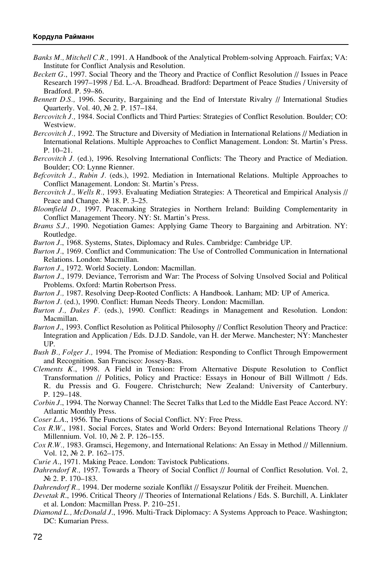- *Banks M., Mitchell C.R.,* 1991. A Handbook of the Analytical Problem-solving Approach. Fairfax; VA: Institute for Conflict Analysis and Resolution.
- *Beckett G*., 1997. Social Theory and the Theory and Practice of Conflict Resolution // Issues in Peace Research 1997–1998 / Ed. L.-A. Broadhead. Bradford: Department of Peace Studies / University of Bradford. P. 59–86.
- *Bennett D.S.,* 1996. Security, Bargaining and the End of Interstate Rivalry // International Studies Quarterly. Vol. 40, No 2. P. 157-184.
- *Bercovitch J.,* 1984. Social Conflicts and Third Parties: Strategies of Conflict Resolution. Boulder; CO: Westview.
- *Bercovitch J.,* 1992. The Structure and Diversity of Mediation in International Relations // Mediation in International Relations. Multiple Approaches to Conflict Management. London: St. Martin's Press. P. 10–21.
- *Bercovitch J.* (ed.), 1996. Resolving International Conflicts: The Theory and Practice of Mediation. Boulder; CO: Lynne Rienner.
- *Befcovitch J., Rubin J.* (eds.), 1992. Mediation in International Relations. Multiple Approaches to Conflict Management. London: St. Martin's Press.
- *Bercovitch J., Wells R.,* 1993. Evaluating Mediation Strategies: A Theoretical and Empirical Analysis // Peace and Change.  $\mathcal{N}$  18. P. 3–25.
- *Bloomfield D.,* 1997. Peacemaking Strategies in Northern Ireland: Building Complementarity in Conflict Management Theory. NY: St. Martin's Press.
- *Brams S.J.,* 1990. Negotiation Games: Applying Game Theory to Bargaining and Arbitration. NY: Routledge.

*Burton J*., 1968. Systems, States, Diplomacy and Rules. Cambridge: Cambridge UP.

- *Burton J.*, 1969. Conflict and Communication: The Use of Controlled Communication in International Relations. London: Macmillan.
- *Burton J*., 1972. World Society. London: Macmillan.
- *Burton J.*, 1979. Deviance, Terrorism and War: The Process of Solving Unsolved Social and Political Problems. Oxford: Martin Robertson Press.
- *Burton J.,* 1987. Resolving Deep-Rooted Conflicts: A Handbook. Lanham; MD: UP of America.
- *Burton J.* (ed.), 1990. Conflict: Human Needs Theory. London: Macmillan.
- *Burton J., Dukes F.* (eds.), 1990. Conflict: Readings in Management and Resolution. London: Macmillan.
- *Burton J.*, 1993. Conflict Resolution as Political Philosophy // Conflict Resolution Theory and Practice: Integration and Application / Eds. D.J.D. Sandole, van H. der Merwe. Manchester; NY: Manchester UP.
- *Bush Ç., Folger J.,* 1994. The Promise of Mediation: Responding to Conflict Through Empowerment and Recognition. San Francisco: Jossey-Bass.
- *Clements K.*, 1998. A Field in Tension: From Alternative Dispute Resolution to Conflict Transformation // Politics, Policy and Practice: Essays in Honour of Bill Willmott / Eds. R. du Pressis and G. Fougere. Christchurch; New Zealand: University of Canterbury. P. 129–148.
- *Corbin J*., 1994. The Norway Channel: The Secret Talks that Led to the Middle East Peace Accord. NY: Atlantic Monthly Press.
- *Coser L.A*., 1956. The Functions of Social Conflict. NY: Free Press.
- *Cox R.W.*, 1981. Social Forces, States and World Orders: Beyond International Relations Theory // Millennium. Vol. 10, No 2. P. 126-155.
- *Cox R.W.,* 1983. Gramsci, Hegemony, and International Relations: An Essay in Method // Millennium. Vol. 12, № 2. P. 162-175.
- *Curie A*., 1971. Making Peace. London: Tavistock Publications.
- *Dahrendorf R.,* 1957. Towards a Theory of Social Conflict // Journal of Conflict Resolution. Vol. 2,  $\mathbb{N}^2$  2. P. 170–183.
- *Dahrendorf R.,* 1994. Der moderne soziale Konflikt // Essayszur Politik der Freiheit. Muenchen.
- *Devetak R*., 1996. Critical Theory // Theories of International Relations / Eds. S. Burchill, A. Linklater et al. London: Macmillan Press. P. 210–251.
- *Diamond L., McDonald J*., 1996. Multi-Track Diplomacy: A Systems Approach to Peace. Washington; DC: Kumarian Press.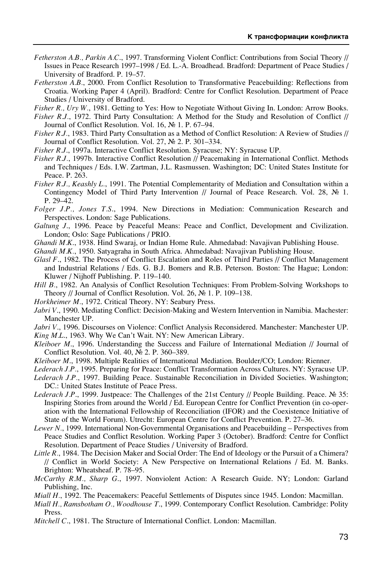- *Fetherston A.B., Parkin A.C*., 1997. Transforming Violent Conflict: Contributions from Social Theory // Issues in Peace Research 1997–1998 / Ed. L.-A. Broadhead. Bradford: Department of Peace Studies / University of Bradford. P. 19–57.
- *Fetherston A.B.*, 2000. From Conflict Resolution to Transformative Peacebuilding: Reflections from Croatia. Working Paper 4 (April). Bradford: Centre for Conflict Resolution. Department of Peace Studies / University of Bradford.

*Fisher R., Ury W.*, 1981. Getting to Yes: How to Negotiate Without Giving In. London: Arrow Books.

- *Fisher R.J.*, 1972. Third Party Consultation: A Method for the Study and Resolution of Conflict // Journal of Conflict Resolution. Vol. 16, No 1. P. 67–94.
- *Fisher R.J.*, 1983. Third Party Consultation as a Method of Conflict Resolution: A Review of Studies // Journal of Conflict Resolution. Vol. 27, No 2. P. 301-334.
- *Fisher R.J*., 1997a. Interactive Conflict Resolution. Syracuse; NY: Syracuse UP.
- *Fisher R.J.*, 1997b. Interactive Conflict Resolution // Peacemaking in International Conflict. Methods and Techniques / Eds. I.W. Zartman, J.L. Rasmussen. Washington; DC: United States Institute for Peace. P. 263.
- *Fisher R.J., Keashly L.*, 1991. The Potential Complementarity of Mediation and Consultation within a Contingency Model of Third Party Intervention // Journal of Peace Research. Vol. 28,  $\mathbb{N}$  1. P. 29–42.
- *Folger J.P., Jones T.S*., 1994. New Directions in Mediation: Communication Research and Perspectives. London: Sage Publications.
- *Galtung J*., 1996. Peace by Peaceful Means: Peace and Conflict, Development and Civilization. London; Oslo: Sage Publications / PRIO.
- *Ghandi M.K*., 1938. Hind Swaraj, or Indian Home Rule. Ahmedabad: Navajivan Publishing House.

*Ghandi M.K.*, 1950. Satyagraha in South Africa. Ahmedabad: Navajivan Publishing House.

- *Glasl F*., 1982. The Process of Conflict Escalation and Roles of Third Parties // Conflict Management and Industrial Relations / Eds. G. B.J. Bomers and R.B. Peterson. Boston: The Hague; London: Kluwer / Nijhoff Publishing. P. 119–140.
- *Hill Ç.*, 1982. An Analysis of Conflict Resolution Techniques: From Problem-Solving Workshops to Theory // Journal of Conflict Resolution. Vol. 26,  $\mathbb{N}^2$  1. P. 109–138.

*Horkheimer M.*, 1972. Critical Theory. NY: Seabury Press.

*Jabri V*., 1990. Mediating Conflict: Decision-Making and Western Intervention in Namibia. Machester: Manchester UP.

*Jabri V*., 1996. Discourses on Violence: Conflict Analysis Reconsidered. Manchester: Manchester UP. *King M.L*., 1963. Why We Can't Wait. NY: New American Library.

- *Kleiboer M*., 1996. Understanding the Success and Failure of International Mediation // Journal of Conflict Resolution. Vol. 40, № 2. P. 360–389.
- *Kleiboer M.*, 1998. Multiple Realities of International Mediation. Boulder/CO: London: Rienner.
- *Lederach J.P.*, 1995. Preparing for Peace: Conflict Transformation Across Cultures. NY: Syracuse UP.
- *Lederach J.P.*, 1997. Building Peace. Sustainable Reconciliation in Divided Societies. Washington; DC.: United States Institute of Peace Press.
- *Lederach J.P.*, 1999. Justpeace: The Challenges of the 21st Century // People Building. Peace.  $\mathbb{N}^3$  35: Inspiring Stories from around the World / Ed. European Centre for Conflict Prevention (in co-operation with the International Fellowship of Reconciliation (IFOR) and the Coexistence Initiative of State of the World Forum). Utrecht: European Centre for Conflict Prevention. P. 27–36.
- *Lewer N.*, 1999. International Non-Governmental Organisations and Peacebuilding Perspectives from Peace Studies and Conflict Resolution. Working Paper 3 (October). Bradford: Centre for Conflict Resolution. Department of Peace Studies / University of Bradford.
- *Little R.*, 1984. The Decision Maker and Social Order: The End of Ideology or the Pursuit of a Chimera? // Conflict in World Society: A New Perspective on International Relations / Ed. M. Banks. Brighton: Wheatsheaf. P. 78–95.
- *McCarthy R.M., Sharp G*., 1997. Nonviolent Action: A Research Guide. NY; London: Garland Publishing, Inc.

*Miall H.*, 1992. The Peacemakers: Peaceful Settlements of Disputes since 1945. London: Macmillan.

- *Miall H., Ramsbotham O., Woodhouse í*., 1999. Contemporary Conflict Resolution. Cambridge: Polity Press.
- *Mitchell C*., 1981. The Structure of International Conflict. London: Macmillan.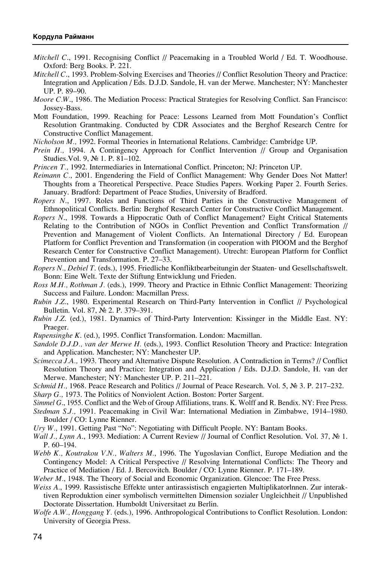- *Mitchell C*., 1991. Recognising Conflict // Peacemaking in a Troubled World / Ed. T. Woodhouse. Oxford: Berg Books. P. 221.
- *Mitchell C*., 1993. Problem-Solving Exercises and Theories // Conflict Resolution Theory and Practice: Integration and Application / Eds. D.J.D. Sandole, H. van der Merwe. Manchester; NY: Manchester UP. P. 89–90.
- *Moore C.W*., 1986. The Mediation Process: Practical Strategies for Resolving Conflict. San Francisco: Jossey-Bass.
- Mott Foundation, 1999. Reaching for Peace: Lessons Learned from Mott Foundation's Conflict Resolution Grantmaking. Conducted by CDR Associates and the Berghof Research Centre for Constructive Conflict Management.
- *Nicholson M.,* 1992. Formal Theories in International Relations. Cambridge: Cambridge UP.
- *Prein H.*, 1994. A Contingency Approach for Conflict Intervention // Group and Organisation Studies. Vol. 9, No 1. P. 81-102.
- *Princen T., 1992. Intermediaries in International Conflict. Princeton; NJ: Princeton UP.*
- *Reimann C.*, 2001. Engendering the Field of Conflict Management: Why Gender Does Not Matter! Thoughts from a Theoretical Perspective. Peace Studies Papers. Working Paper 2. Fourth Series. January. Bradford: Department of Peace Studies, University of Bradford.
- *Ropers N*., 1997. Roles and Functions of Third Parties in the Constructive Management of Ethnopolitical Conflicts. Berlin: Berghof Research Center for Constructive Conflict Management.
- *Ropers N*., 1998. Towards a Hippocratic Oath of Conflict Management? Eight Critical Statements Relating to the Contribution of NGOs in Conflict Prevention and Conflict Transformation // Prevention and Management of Violent Conflicts. An International Directory / Ed. European Platform for Conflict Prevention and Transformation (in cooperation with PIOOM and the Berghof Research Center for Constructive Conflict Management). Utrecht: European Platform for Conflict Prevention and Transformation. P. 27–33.
- *Ropers N., Debiel T*. (eds.), 1995. Friedliche Konfliktbearbeitungin der Staaten- und Gesellschaftswelt. Bonn: Eine Welt. Texte der Stiftung Entwicklung und Frieden.
- *Ross M.H., Rothman J.* (eds.), 1999. Theory and Practice in Ethnic Conflict Management: Theorizing Success and Failure. London: Macmillan Press.
- *Rubin J.Z*., 1980. Experimental Research on Third-Party Intervention in Conflict // Psychological Bulletin. Vol. 87, № 2. P. 379-391.
- *Rubin J.Z*. (ed.), 1981. Dynamics of Third-Party Intervention: Kissinger in the Middle East. NY: Praeger.
- *Rupensinghe K*. (ed.), 1995. Conflict Transformation. London: Macmillan.
- *Sandole D.J.D., van der Merwe H.* (eds.), 1993. Conflict Resolution Theory and Practice: Integration and Application. Manchester; NY: Manchester UP.

*Scimecca J.A.,* 1993. Theory and Alternative Dispute Resolution. A Contradiction in Terms? // Conflict Resolution Theory and Practice: Integration and Application / Eds. D.J.D. Sandole, H. van der Merwe. Manchester; NY: Manchester UP. P. 211–221.

*Schmid H.*, 1968. Peace Research and Politics // Journal of Peace Research. Vol. 5, Nº 3. P. 217–232.

*Sharp G.,* 1973. The Politics of Nonviolent Action. Boston: Porter Sargent.

*Simmel G*., 1955. Conflict and the Web of Group Affiliations, trans. K. Wolff and R. Bendix. NY: Free Press.

*Stedman S.J.,* 1991. Peacemaking in Civil War: International Mediation in Zimbabwe, 1914–1980. Boulder / CO: Lynne Rienner.

*Ury W.*, 1991. Getting Past "No": Negotiating with Difficult People. NY: Bantam Books.

- *Wall J., Lynn A.*, 1993. Mediation: A Current Review // Journal of Conflict Resolution. Vol. 37, № 1. P. 60–194.
- *Webb K., Koutrakou V.N., Walters M.*, 1996. The Yugoslavian Conflict, Europe Mediation and the Contingency Model: A Critical Perspective // Resolving International Conflicts: The Theory and Practice of Mediation / Ed. J. Bercovitch. Boulder / CO: Lynne Rienner. P. 171–189.
- *Weber M.*, 1948. The Theory of Social and Economic Organization. Glencoe: The Free Press.
- *Weiss A.*, 1999. Rassistische Effekte unter antirassistisch engagierten Multiplikatorlnnen. Zur interaktiven Reproduktion einer symbolisch vermittelten Dimension sozialer Ungleichheit // Unpublished Doctorate Dissertation. Humboldt Universitaet zu Berlin.
- *Wolfe A.W., Honggang Y.* (eds.), 1996. Anthropological Contributions to Conflict Resolution. London: University of Georgia Press.